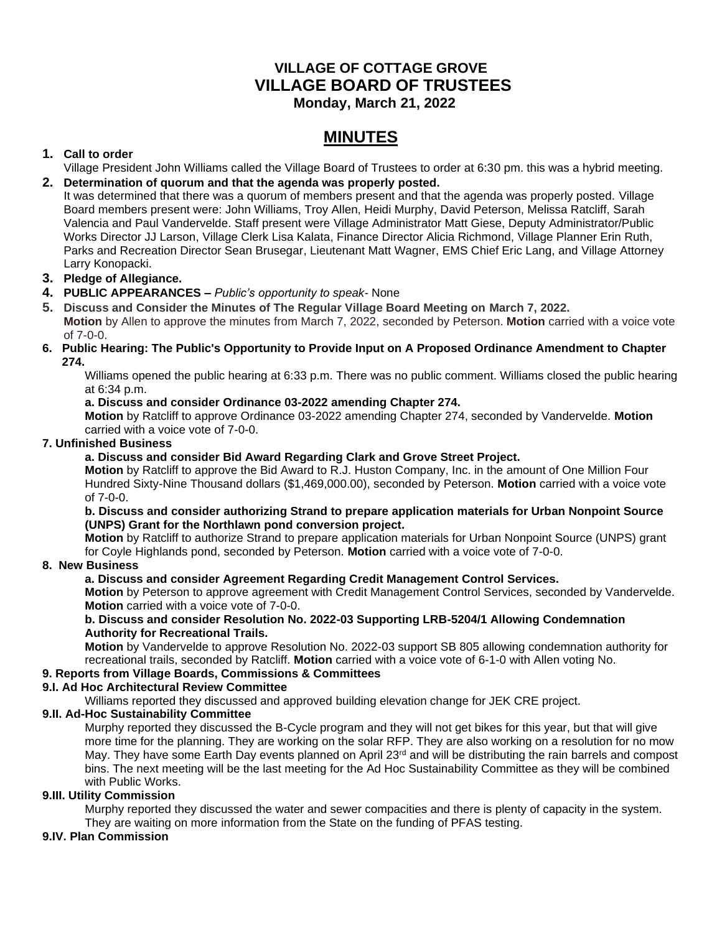# **VILLAGE OF COTTAGE GROVE VILLAGE BOARD OF TRUSTEES Monday, March 21, 2022**

# **MINUTES**

# **1. Call to order**

Village President John Williams called the Village Board of Trustees to order at 6:30 pm. this was a hybrid meeting. **2. Determination of quorum and that the agenda was properly posted.**

It was determined that there was a quorum of members present and that the agenda was properly posted. Village Board members present were: John Williams, Troy Allen, Heidi Murphy, David Peterson, Melissa Ratcliff, Sarah Valencia and Paul Vandervelde. Staff present were Village Administrator Matt Giese, Deputy Administrator/Public Works Director JJ Larson, Village Clerk Lisa Kalata, Finance Director Alicia Richmond, Village Planner Erin Ruth, Parks and Recreation Director Sean Brusegar, Lieutenant Matt Wagner, EMS Chief Eric Lang, and Village Attorney Larry Konopacki.

# **3. Pledge of Allegiance.**

# **4. PUBLIC APPEARANCES –** *Public's opportunity to speak-* None

**5. Discuss and Consider the Minutes of The Regular Village Board Meeting on March 7, 2022. Motion** by Allen to approve the minutes from March 7, 2022, seconded by Peterson. **Motion** carried with a voice vote of 7-0-0.

**6. Public Hearing: The Public's Opportunity to Provide Input on A Proposed Ordinance Amendment to Chapter 274.**

Williams opened the public hearing at 6:33 p.m. There was no public comment. Williams closed the public hearing at 6:34 p.m.

### **a. Discuss and consider Ordinance 03-2022 amending Chapter 274.**

**Motion** by Ratcliff to approve Ordinance 03-2022 amending Chapter 274, seconded by Vandervelde. **Motion** carried with a voice vote of 7-0-0.

### **7. Unfinished Business**

### **a. Discuss and consider Bid Award Regarding Clark and Grove Street Project.**

**Motion** by Ratcliff to approve the Bid Award to R.J. Huston Company, Inc. in the amount of One Million Four Hundred Sixty-Nine Thousand dollars (\$1,469,000.00), seconded by Peterson. **Motion** carried with a voice vote of 7-0-0.

### **b. Discuss and consider authorizing Strand to prepare application materials for Urban Nonpoint Source (UNPS) Grant for the Northlawn pond conversion project.**

**Motion** by Ratcliff to authorize Strand to prepare application materials for Urban Nonpoint Source (UNPS) grant for Coyle Highlands pond, seconded by Peterson. **Motion** carried with a voice vote of 7-0-0.

### **8. New Business**

### **a. Discuss and consider Agreement Regarding Credit Management Control Services.**

**Motion** by Peterson to approve agreement with Credit Management Control Services, seconded by Vandervelde. **Motion** carried with a voice vote of 7-0-0.

### **b. Discuss and consider Resolution No. 2022-03 Supporting LRB-5204/1 Allowing Condemnation Authority for Recreational Trails.**

**Motion** by Vandervelde to approve Resolution No. 2022-03 support SB 805 allowing condemnation authority for recreational trails, seconded by Ratcliff. **Motion** carried with a voice vote of 6-1-0 with Allen voting No.

### **9. Reports from Village Boards, Commissions & Committees**

### **9.I. Ad Hoc Architectural Review Committee**

Williams reported they discussed and approved building elevation change for JEK CRE project.

#### **9.II. Ad-Hoc Sustainability Committee**

Murphy reported they discussed the B-Cycle program and they will not get bikes for this year, but that will give more time for the planning. They are working on the solar RFP. They are also working on a resolution for no mow May. They have some Earth Day events planned on April 23<sup>rd</sup> and will be distributing the rain barrels and compost bins. The next meeting will be the last meeting for the Ad Hoc Sustainability Committee as they will be combined with Public Works.

#### **9.III. Utility Commission**

Murphy reported they discussed the water and sewer compacities and there is plenty of capacity in the system. They are waiting on more information from the State on the funding of PFAS testing.

# **9.IV. Plan Commission**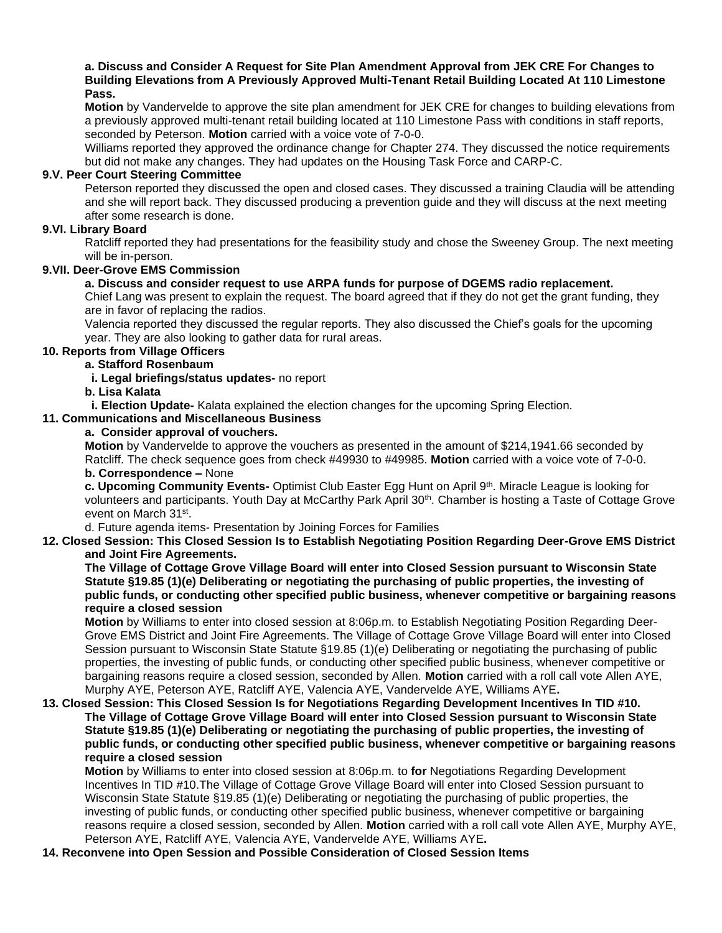#### **a. Discuss and Consider A Request for Site Plan Amendment Approval from JEK CRE For Changes to Building Elevations from A Previously Approved Multi-Tenant Retail Building Located At 110 Limestone Pass.**

**Motion** by Vandervelde to approve the site plan amendment for JEK CRE for changes to building elevations from a previously approved multi-tenant retail building located at 110 Limestone Pass with conditions in staff reports, seconded by Peterson. **Motion** carried with a voice vote of 7-0-0.

Williams reported they approved the ordinance change for Chapter 274. They discussed the notice requirements but did not make any changes. They had updates on the Housing Task Force and CARP-C.

### **9.V. Peer Court Steering Committee**

Peterson reported they discussed the open and closed cases. They discussed a training Claudia will be attending and she will report back. They discussed producing a prevention guide and they will discuss at the next meeting after some research is done.

### **9.VI. Library Board**

Ratcliff reported they had presentations for the feasibility study and chose the Sweeney Group. The next meeting will be in-person.

### **9.VII. Deer-Grove EMS Commission**

### **a. Discuss and consider request to use ARPA funds for purpose of DGEMS radio replacement.**

Chief Lang was present to explain the request. The board agreed that if they do not get the grant funding, they are in favor of replacing the radios.

Valencia reported they discussed the regular reports. They also discussed the Chief's goals for the upcoming year. They are also looking to gather data for rural areas.

# **10. Reports from Village Officers**

# **a. Stafford Rosenbaum**

**i. Legal briefings/status updates-** no report

### **b. Lisa Kalata**

**i. Election Update-** Kalata explained the election changes for the upcoming Spring Election.

### **11. Communications and Miscellaneous Business**

### **a. Consider approval of vouchers.**

**Motion** by Vandervelde to approve the vouchers as presented in the amount of \$214,1941.66 seconded by Ratcliff. The check sequence goes from check #49930 to #49985. **Motion** carried with a voice vote of 7-0-0. **b. Correspondence –** None

**c. Upcoming Community Events-** Optimist Club Easter Egg Hunt on April 9th . Miracle League is looking for volunteers and participants. Youth Day at McCarthy Park April 30<sup>th</sup>. Chamber is hosting a Taste of Cottage Grove event on March 31st.

d. Future agenda items- Presentation by Joining Forces for Families

**12. Closed Session: This Closed Session Is to Establish Negotiating Position Regarding Deer-Grove EMS District and Joint Fire Agreements.**

**The Village of Cottage Grove Village Board will enter into Closed Session pursuant to Wisconsin State Statute §19.85 (1)(e) Deliberating or negotiating the purchasing of public properties, the investing of public funds, or conducting other specified public business, whenever competitive or bargaining reasons require a closed session**

**Motion** by Williams to enter into closed session at 8:06p.m. to Establish Negotiating Position Regarding Deer-Grove EMS District and Joint Fire Agreements. The Village of Cottage Grove Village Board will enter into Closed Session pursuant to Wisconsin State Statute §19.85 (1)(e) Deliberating or negotiating the purchasing of public properties, the investing of public funds, or conducting other specified public business, whenever competitive or bargaining reasons require a closed session, seconded by Allen. **Motion** carried with a roll call vote Allen AYE, Murphy AYE, Peterson AYE, Ratcliff AYE, Valencia AYE, Vandervelde AYE, Williams AYE**.**

#### **13. Closed Session: This Closed Session Is for Negotiations Regarding Development Incentives In TID #10. The Village of Cottage Grove Village Board will enter into Closed Session pursuant to Wisconsin State Statute §19.85 (1)(e) Deliberating or negotiating the purchasing of public properties, the investing of public funds, or conducting other specified public business, whenever competitive or bargaining reasons require a closed session**

**Motion** by Williams to enter into closed session at 8:06p.m. to **for** Negotiations Regarding Development Incentives In TID #10.The Village of Cottage Grove Village Board will enter into Closed Session pursuant to Wisconsin State Statute §19.85 (1)(e) Deliberating or negotiating the purchasing of public properties, the investing of public funds, or conducting other specified public business, whenever competitive or bargaining reasons require a closed session, seconded by Allen. **Motion** carried with a roll call vote Allen AYE, Murphy AYE, Peterson AYE, Ratcliff AYE, Valencia AYE, Vandervelde AYE, Williams AYE**.**

#### **14. Reconvene into Open Session and Possible Consideration of Closed Session Items**